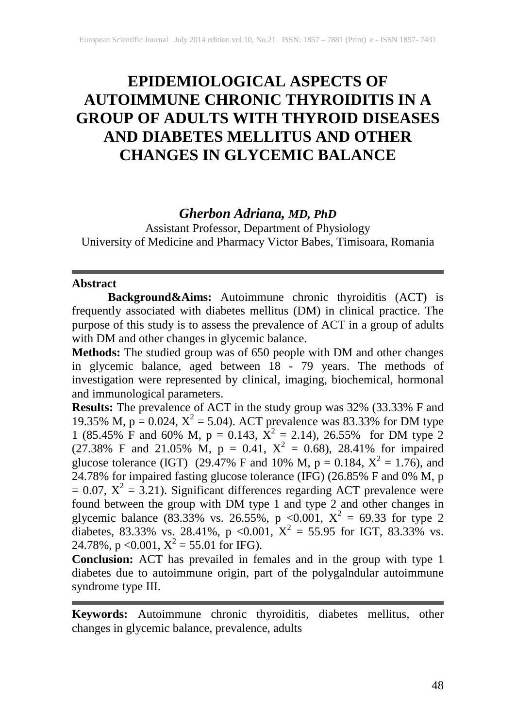# **EPIDEMIOLOGICAL ASPECTS OF AUTOIMMUNE CHRONIC THYROIDITIS IN A GROUP OF ADULTS WITH THYROID DISEASES AND DIABETES MELLITUS AND OTHER CHANGES IN GLYCEMIC BALANCE**

# *Gherbon Adriana, MD, PhD*

Assistant Professor, Department of Physiology University of Medicine and Pharmacy Victor Babes, Timisoara, Romania

#### **Abstract**

**Background&Aims:** Autoimmune chronic thyroiditis (ACT) is frequently associated with diabetes mellitus (DM) in clinical practice. The purpose of this study is to assess the prevalence of ACT in a group of adults with DM and other changes in glycemic balance.

**Methods:** The studied group was of 650 people with DM and other changes in glycemic balance, aged between 18 - 79 years. The methods of investigation were represented by clinical, imaging, biochemical, hormonal and immunological parameters.

**Results:** The prevalence of ACT in the study group was 32% (33.33% F and 19.35% M,  $p = 0.024$ ,  $X^2 = 5.04$ ). ACT prevalence was 83.33% for DM type 1 (85.45% F and 60% M, p = 0.143,  $\overline{X}^2 = 2.14$ ), 26.55% for DM type 2 (27.38% F and 21.05% M,  $p = 0.41$ ,  $X^2 = 0.68$ ), 28.41% for impaired glucose tolerance (IGT) (29.47% F and 10% M,  $p = 0.184$ ,  $X^2 = 1.76$ ), and 24.78% for impaired fasting glucose tolerance (IFG) (26.85% F and 0% M, p  $= 0.07$ ,  $X^2 = 3.21$ ). Significant differences regarding ACT prevalence were found between the group with DM type 1 and type 2 and other changes in glycemic balance (83.33% vs. 26.55%, p <0.001,  $X^2 = 69.33$  for type 2 diabetes, 83.33% vs. 28.41%, p < 0.001,  $X^2 = 55.95$  for IGT, 83.33% vs. 24.78%, p < 0.001,  $X^2 = 55.01$  for IFG).

**Conclusion:** ACT has prevailed in females and in the group with type 1 diabetes due to autoimmune origin, part of the polygalndular autoimmune syndrome type III.

**Keywords:** Autoimmune chronic thyroiditis, diabetes mellitus, other changes in glycemic balance, prevalence, adults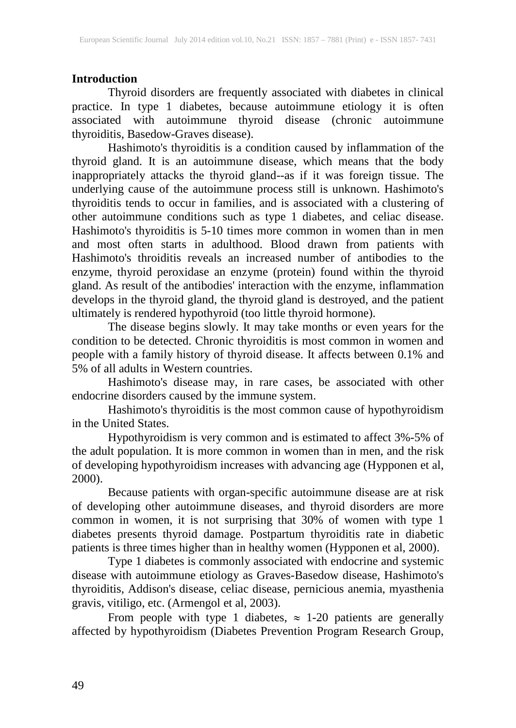# **Introduction**

Thyroid disorders are frequently associated with diabetes in clinical practice. In type 1 diabetes, because autoimmune etiology it is often associated with autoimmune thyroid disease (chronic autoimmune thyroiditis, Basedow-Graves disease).

Hashimoto's thyroiditis is a condition caused by inflammation of the thyroid gland. It is an autoimmune disease, which means that the body inappropriately attacks the thyroid gland--as if it was foreign tissue. The underlying cause of the autoimmune process still is unknown. Hashimoto's thyroiditis tends to occur in families, and is associated with a clustering of other autoimmune conditions such as type 1 diabetes, and celiac disease. Hashimoto's thyroiditis is 5-10 times more common in women than in men and most often starts in adulthood. Blood drawn from patients with Hashimoto's throiditis reveals an increased number of antibodies to the enzyme, thyroid peroxidase an enzyme (protein) found within the thyroid gland. As result of the antibodies' interaction with the enzyme, inflammation develops in the thyroid gland, the thyroid gland is destroyed, and the patient ultimately is rendered hypothyroid (too little thyroid hormone).

The disease begins slowly. It may take months or even years for the condition to be detected. Chronic thyroiditis is most common in women and people with a family history of thyroid disease. It affects between 0.1% and 5% of all adults in Western countries.

Hashimoto's disease may, in rare cases, be associated with other endocrine disorders caused by the immune system.

Hashimoto's thyroiditis is the most common cause of hypothyroidism in the United States.

Hypothyroidism is very common and is estimated to affect 3%-5% of the adult population. It is more common in women than in men, and the risk of developing hypothyroidism increases with advancing age (Hypponen et al, 2000).

Because patients with organ-specific autoimmune disease are at risk of developing other autoimmune diseases, and thyroid disorders are more common in women, it is not surprising that 30% of women with type 1 diabetes presents thyroid damage. Postpartum thyroiditis rate in diabetic patients is three times higher than in healthy women (Hypponen et al, 2000).

Type 1 diabetes is commonly associated with endocrine and systemic disease with autoimmune etiology as Graves-Basedow disease, Hashimoto's thyroiditis, Addison's disease, celiac disease, pernicious anemia, myasthenia gravis, vitiligo, etc. (Armengol et al, 2003).

From people with type 1 diabetes,  $\approx 1$ -20 patients are generally affected by hypothyroidism (Diabetes Prevention Program Research Group,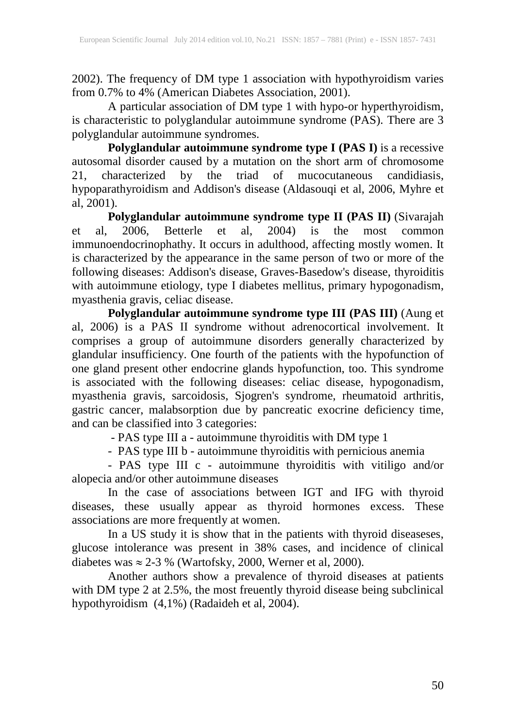2002). The frequency of DM type 1 association with hypothyroidism varies from 0.7% to 4% (American Diabetes Association, 2001).

A particular association of DM type 1 with hypo-or hyperthyroidism, is characteristic to polyglandular autoimmune syndrome (PAS). There are 3 polyglandular autoimmune syndromes.

**Polyglandular autoimmune syndrome type I (PAS I)** is a recessive autosomal disorder caused by a mutation on the short arm of chromosome 21, characterized by the triad of mucocutaneous candidiasis, hypoparathyroidism and Addison's disease (Aldasouqi et al, 2006, Myhre et al,  $2001$ ).

**Polyglandular autoimmune syndrome type II (PAS II)** (Sivarajah et al, 2006, Betterle et al, 2004) is the most common immunoendocrinophathy. It occurs in adulthood, affecting mostly women. It is characterized by the appearance in the same person of two or more of the following diseases: Addison's disease, Graves-Basedow's disease, thyroiditis with autoimmune etiology, type I diabetes mellitus, primary hypogonadism, myasthenia gravis, celiac disease.

**Polyglandular autoimmune syndrome type III (PAS III)** (Aung et al, 2006) is a PAS II syndrome without adrenocortical involvement. It comprises a group of autoimmune disorders generally characterized by glandular insufficiency. One fourth of the patients with the hypofunction of one gland present other endocrine glands hypofunction, too. This syndrome is associated with the following diseases: celiac disease, hypogonadism, myasthenia gravis, sarcoidosis, Sjogren's syndrome, rheumatoid arthritis, gastric cancer, malabsorption due by pancreatic exocrine deficiency time, and can be classified into 3 categories:

- PAS type III a - autoimmune thyroiditis with DM type 1

- PAS type III b - autoimmune thyroiditis with pernicious anemia

- PAS type III c - autoimmune thyroiditis with vitiligo and/or alopecia and/or other autoimmune diseases

In the case of associations between IGT and IFG with thyroid diseases, these usually appear as thyroid hormones excess. These associations are more frequently at women.

In a US study it is show that in the patients with thyroid diseaseses, glucose intolerance was present in 38% cases, and incidence of clinical diabetes was  $\approx 2-3$  % (Wartofsky, 2000, Werner et al, 2000).

Another authors show a prevalence of thyroid diseases at patients with DM type 2 at 2.5%, the most freuently thyroid disease being subclinical hypothyroidism (4,1%) (Radaideh et al, 2004).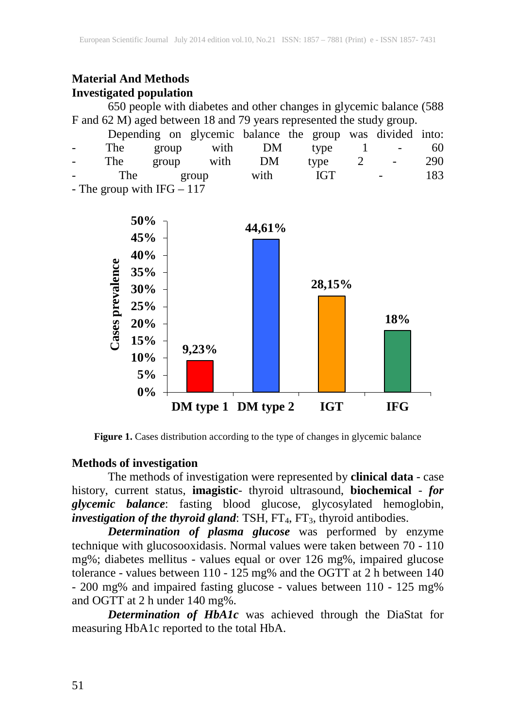# **Material And Methods Investigated population**

650 people with diabetes and other changes in glycemic balance (588 F and 62 M) aged between 18 and 79 years represented the study group.

|                 |                                 |       |       |         | Depending on glycemic balance the group was divided into: |                |                             |     |
|-----------------|---------------------------------|-------|-------|---------|-----------------------------------------------------------|----------------|-----------------------------|-----|
| $\sim$ 10 $\,$  | The                             | group |       | with DM | type                                                      |                | $\frac{1}{2}$ $\frac{1}{2}$ | 60  |
| $\sim$ 10 $\pm$ | The                             | group | with  | DM      | type                                                      | $\overline{2}$ | $\sim$                      | 290 |
| $\sim$          | The                             |       | group | with    | <b>IGT</b>                                                |                |                             | 183 |
|                 | The group with $\text{IEC}$ 117 |       |       |         |                                                           |                |                             |     |

- The group with  $IFG - II7$ 



**Figure 1.** Cases distribution according to the type of changes in glycemic balance

## **Methods of investigation**

The methods of investigation were represented by **clinical data** - case history, current status, **imagistic**- thyroid ultrasound, **biochemical** - *for glycemic balance*: fasting blood glucose, glycosylated hemoglobin, *investigation of the thyroid gland*: TSH, FT<sub>4</sub>, FT<sub>3</sub>, thyroid antibodies.

*Determination of plasma glucose* was performed by enzyme technique with glucosooxidasis. Normal values were taken between 70 - 110 mg%; diabetes mellitus - values equal or over 126 mg%, impaired glucose tolerance - values between 110 - 125 mg% and the OGTT at 2 h between 140 - 200 mg% and impaired fasting glucose - values between 110 - 125 mg% and OGTT at 2 h under 140 mg%.

*Determination of HbA1c* was achieved through the DiaStat for measuring HbA1c reported to the total HbA.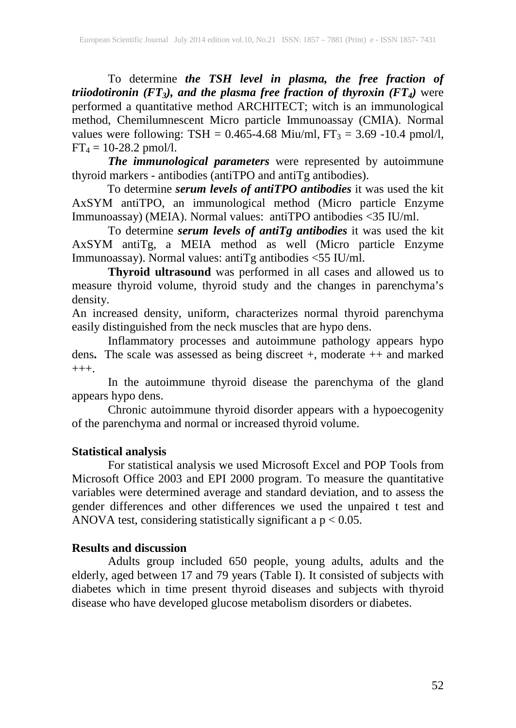To determine *the TSH level in plasma, the free fraction of triiodotironin (FT3), and the plasma free fraction of thyroxin (FT4)* were performed a quantitative method ARCHITECT; witch is an immunological method, Chemilumnescent Micro particle Immunoassay (CMIA). Normal values were following:  $TSH = 0.465 - 4.68$  Miu/ml,  $FT_3 = 3.69 - 10.4$  pmol/l,  $FT_4 = 10 - 28.2$  pmol/l.

*The immunological parameters* were represented by autoimmune thyroid markers - antibodies (antiTPO and antiTg antibodies).

To determine *serum levels of antiTPO antibodies* it was used the kit AxSYM antiTPO, an immunological method (Micro particle Enzyme Immunoassay) (MEIA). Normal values: antiTPO antibodies <35 IU/ml.

To determine *serum levels of antiTg antibodies* it was used the kit AxSYM antiTg, a MEIA method as well (Micro particle Enzyme Immunoassay). Normal values: antiTg antibodies <55 IU/ml.

**Thyroid ultrasound** was performed in all cases and allowed us to measure thyroid volume, thyroid study and the changes in parenchyma's density.

An increased density, uniform, characterizes normal thyroid parenchyma easily distinguished from the neck muscles that are hypo dens.

Inflammatory processes and autoimmune pathology appears hypo dens**.** The scale was assessed as being discreet +, moderate ++ and marked  $+++.$ 

In the autoimmune thyroid disease the parenchyma of the gland appears hypo dens.

Chronic autoimmune thyroid disorder appears with a hypoecogenity of the parenchyma and normal or increased thyroid volume.

## **Statistical analysis**

For statistical analysis we used Microsoft Excel and POP Tools from Microsoft Office 2003 and EPI 2000 program. To measure the quantitative variables were determined average and standard deviation, and to assess the gender differences and other differences we used the unpaired t test and ANOVA test, considering statistically significant a  $p < 0.05$ .

## **Results and discussion**

Adults group included 650 people, young adults, adults and the elderly, aged between 17 and 79 years (Table I). It consisted of subjects with diabetes which in time present thyroid diseases and subjects with thyroid disease who have developed glucose metabolism disorders or diabetes.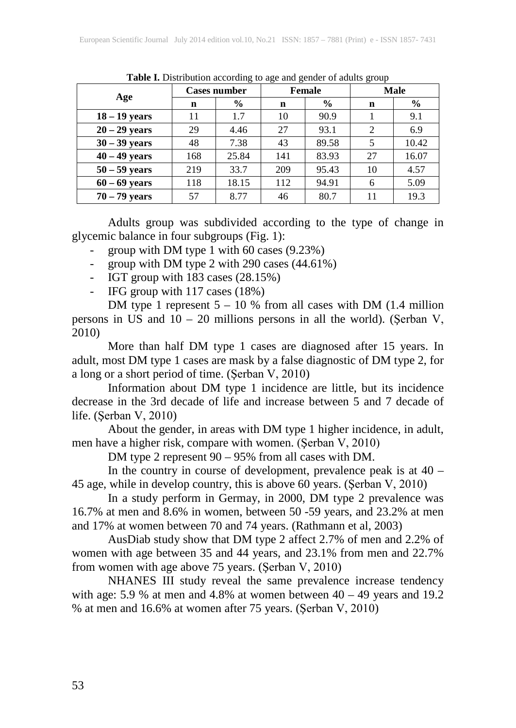| Age             | <b>Cases number</b> |               | ັ<br>Female |       | ັ<br><b>Male</b>            |       |
|-----------------|---------------------|---------------|-------------|-------|-----------------------------|-------|
|                 | n                   | $\frac{0}{0}$ | n           | $\%$  | n                           | $\%$  |
| $18 - 19$ years | 11                  | 1.7           | 10          | 90.9  |                             | 9.1   |
| $20 - 29$ years | 29                  | 4.46          | 27          | 93.1  | $\mathcal{D}_{\mathcal{L}}$ | 6.9   |
| $30 - 39$ years | 48                  | 7.38          | 43          | 89.58 | 5                           | 10.42 |
| $40 - 49$ years | 168                 | 25.84         | 141         | 83.93 | 27                          | 16.07 |
| $50 - 59$ years | 219                 | 33.7          | 209         | 95.43 | 10                          | 4.57  |
| $60 - 69$ years | 118                 | 18.15         | 112         | 94.91 | 6                           | 5.09  |
| $70 - 79$ years | 57                  | 8.77          | 46          | 80.7  | 11                          | 19.3  |

**Table I.** Distribution according to age and gender of adults group

Adults group was subdivided according to the type of change in glycemic balance in four subgroups (Fig. 1):

- group with DM type 1 with 60 cases (9.23%)
- group with DM type 2 with 290 cases (44.61%)
- IGT group with 183 cases (28.15%)
- IFG group with 117 cases (18%)

DM type 1 represent 5 – 10 % from all cases with DM (1.4 million persons in US and  $10 - 20$  millions persons in all the world). (Serban V, 2010)

More than half DM type 1 cases are diagnosed after 15 years. In adult, most DM type 1 cases are mask by a false diagnostic of DM type 2, for a long or a short period of time. (Şerban V, 2010)

Information about DM type 1 incidence are little, but its incidence decrease in the 3rd decade of life and increase between 5 and 7 decade of life. (Şerban V, 2010)

About the gender, in areas with DM type 1 higher incidence, in adult, men have a higher risk, compare with women. (Şerban V, 2010)

DM type 2 represent 90 – 95% from all cases with DM.

In the country in course of development, prevalence peak is at  $40 -$ 45 age, while in develop country, this is above 60 years. (Şerban V, 2010)

In a study perform in Germay, in 2000, DM type 2 prevalence was 16.7% at men and 8.6% in women, between 50 -59 years, and 23.2% at men and 17% at women between 70 and 74 years. (Rathmann et al, 2003)

AusDiab study show that DM type 2 affect 2.7% of men and 2.2% of women with age between 35 and 44 years, and 23.1% from men and 22.7% from women with age above 75 years. (Şerban V, 2010)

NHANES III study reveal the same prevalence increase tendency with age: 5.9 % at men and  $4.8\%$  at women between  $40 - 49$  years and  $19.2$ % at men and 16.6% at women after 75 years. (Şerban V, 2010)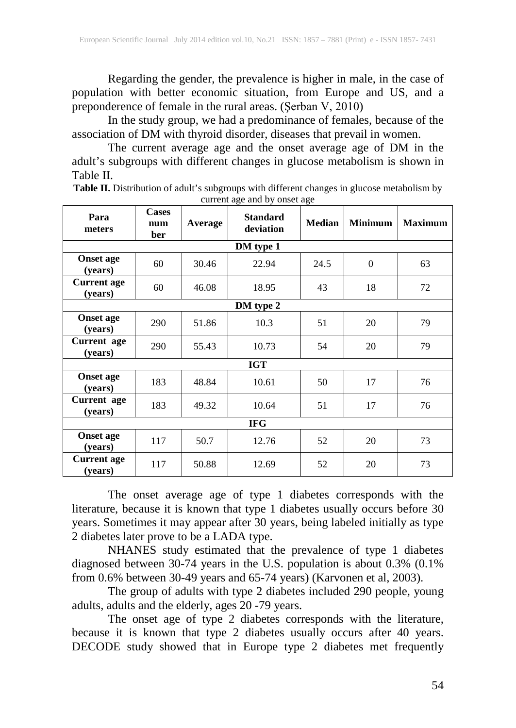Regarding the gender, the prevalence is higher in male, in the case of population with better economic situation, from Europe and US, and a preponderence of female in the rural areas. (Şerban V, 2010)

In the study group, we had a predominance of females, because of the association of DM with thyroid disorder, diseases that prevail in women.

The current average age and the onset average age of DM in the adult's subgroups with different changes in glucose metabolism is shown in Table II.

Table II. Distribution of adult's subgroups with different changes in glucose metabolism by current age and by onset age

| Para<br>meters                | <b>Cases</b><br>num<br>ber | Average | <b>Standard</b><br>deviation | <b>Median</b> | <b>Minimum</b> | <b>Maximum</b> |  |
|-------------------------------|----------------------------|---------|------------------------------|---------------|----------------|----------------|--|
|                               |                            |         | DM type 1                    |               |                |                |  |
| <b>Onset age</b><br>(vears)   | 60                         | 30.46   | 22.94                        | 24.5          | $\Omega$       | 63             |  |
| <b>Current</b> age<br>(years) | 60                         | 46.08   | 18.95                        | 43            | 18             | 72             |  |
|                               |                            |         | DM type 2                    |               |                |                |  |
| <b>Onset age</b><br>(years)   | 290                        | 51.86   | 10.3                         | 51            | 20             | 79             |  |
| Current age<br>(years)        | 290                        | 55.43   | 10.73                        | 54            | 20             | 79             |  |
| <b>IGT</b>                    |                            |         |                              |               |                |                |  |
| <b>Onset age</b><br>(years)   | 183                        | 48.84   | 10.61                        | 50            | 17             | 76             |  |
| Current age<br>(years)        | 183                        | 49.32   | 10.64                        | 51            | 17             | 76             |  |
| <b>IFG</b>                    |                            |         |                              |               |                |                |  |
| <b>Onset age</b><br>(years)   | 117                        | 50.7    | 12.76                        | 52            | 20             | 73             |  |
| <b>Current</b> age<br>(years) | 117                        | 50.88   | 12.69                        | 52            | 20             | 73             |  |

The onset average age of type 1 diabetes corresponds with the literature, because it is known that type 1 diabetes usually occurs before 30 years. Sometimes it may appear after 30 years, being labeled initially as type 2 diabetes later prove to be a LADA type.

NHANES study estimated that the prevalence of type 1 diabetes diagnosed between 30-74 years in the U.S. population is about 0.3% (0.1% from 0.6% between 30-49 years and 65-74 years) (Karvonen et al, 2003).

The group of adults with type 2 diabetes included 290 people, young adults, adults and the elderly, ages 20 -79 years.

The onset age of type 2 diabetes corresponds with the literature, because it is known that type 2 diabetes usually occurs after 40 years. DECODE study showed that in Europe type 2 diabetes met frequently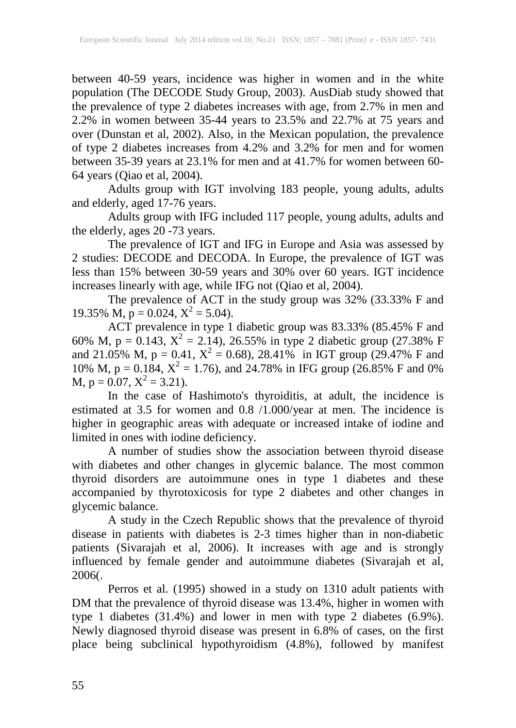between 40-59 years, incidence was higher in women and in the white population (The DECODE Study Group, 2003). AusDiab study showed that the prevalence of type 2 diabetes increases with age, from 2.7% in men and 2.2% in women between 35-44 years to 23.5% and 22.7% at 75 years and over (Dunstan et al, 2002). Also, in the Mexican population, the prevalence of type 2 diabetes increases from 4.2% and 3.2% for men and for women between 35-39 years at 23.1% for men and at 41.7% for women between 60- 64 years (Qiao et al, 2004).

Adults group with IGT involving 183 people, young adults, adults and elderly, aged 17-76 years.

Adults group with IFG included 117 people, young adults, adults and the elderly, ages 20 -73 years.

The prevalence of IGT and IFG in Europe and Asia was assessed by 2 studies: DECODE and DECODA. In Europe, the prevalence of IGT was less than 15% between 30-59 years and 30% over 60 years. IGT incidence increases linearly with age, while IFG not (Qiao et al, 2004).

The prevalence of ACT in the study group was 32% (33.33% F and 19.35% M,  $p = 0.024$ ,  $X^2 = 5.04$ ).

ACT prevalence in type 1 diabetic group was 83.33% (85.45% F and 60% M, p = 0.143,  $X^2 = 2.14$ ), 26.55% in type 2 diabetic group (27.38% F and 21.05% M,  $p = 0.41$ ,  $X^2 = 0.68$ ), 28.41% in IGT group (29.47% F and 10% M,  $p = 0.184$ ,  $X^2 = 1.76$ ), and 24.78% in IFG group (26.85% F and 0%) M,  $p = 0.07$ ,  $X^2 = 3.21$ ).

In the case of Hashimoto's thyroiditis, at adult, the incidence is estimated at 3.5 for women and 0.8 /1.000/year at men. The incidence is higher in geographic areas with adequate or increased intake of iodine and limited in ones with iodine deficiency.

A number of studies show the association between thyroid disease with diabetes and other changes in glycemic balance. The most common thyroid disorders are autoimmune ones in type 1 diabetes and these accompanied by thyrotoxicosis for type 2 diabetes and other changes in glycemic balance.

A study in the Czech Republic shows that the prevalence of thyroid disease in patients with diabetes is 2-3 times higher than in non-diabetic patients (Sivarajah et al, 2006). It increases with age and is strongly influenced by female gender and autoimmune diabetes (Sivarajah et al, 2006(.

Perros et al. (1995) showed in a study on 1310 adult patients with DM that the prevalence of thyroid disease was 13.4%, higher in women with type 1 diabetes (31.4%) and lower in men with type 2 diabetes (6.9%). Newly diagnosed thyroid disease was present in 6.8% of cases, on the first place being subclinical hypothyroidism (4.8%), followed by manifest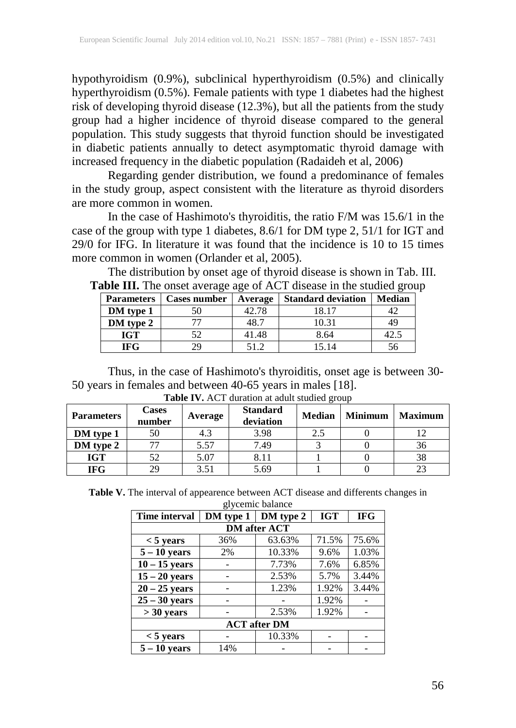hypothyroidism (0.9%), subclinical hyperthyroidism (0.5%) and clinically hyperthyroidism (0.5%). Female patients with type 1 diabetes had the highest risk of developing thyroid disease (12.3%), but all the patients from the study group had a higher incidence of thyroid disease compared to the general population. This study suggests that thyroid function should be investigated in diabetic patients annually to detect asymptomatic thyroid damage with increased frequency in the diabetic population (Radaideh et al, 2006)

Regarding gender distribution, we found a predominance of females in the study group, aspect consistent with the literature as thyroid disorders are more common in women.

In the case of Hashimoto's thyroiditis, the ratio F/M was 15.6/1 in the case of the group with type 1 diabetes, 8.6/1 for DM type 2, 51/1 for IGT and 29/0 for IFG. In literature it was found that the incidence is 10 to 15 times more common in women (Orlander et al, 2005).

The distribution by onset age of thyroid disease is shown in Tab. III. **Table III.** The onset average age of ACT disease in the studied group

| <b>Parameters</b> | <b>Cases number</b> | Average | <b>Standard deviation</b> | <b>Median</b> |
|-------------------|---------------------|---------|---------------------------|---------------|
| DM type 1         |                     | 42.78   | 18.17                     |               |
| DM type 2         |                     | 48.7    | 10.31                     |               |
| <b>IGT</b>        | 52                  | 41.48   | 8.64                      | 42.5          |
| <b>IFG</b>        | 29                  | 51 2    | 15.14                     |               |

Thus, in the case of Hashimoto's thyroiditis, onset age is between 30- 50 years in females and between 40-65 years in males [18].

| <b>Parameters</b> | <b>Cases</b><br>number | Average | <b>Standard</b><br>deviation | <b>Median</b> | <b>Minimum</b> | <b>Maximum</b> |
|-------------------|------------------------|---------|------------------------------|---------------|----------------|----------------|
| DM type 1         | 50                     | 4.3     | 3.98                         | 2.5           |                |                |
| DM type 2         |                        | 5.57    | 7.49                         |               |                | 36             |
| IGT               |                        | 5.07    | 8.11                         |               |                |                |
| IFG               | 29                     | 3.51    | 5.69                         |               |                |                |

**Table IV.** ACT duration at adult studied group

**Table V.** The interval of appearence between ACT disease and differents changes in glycemic balance

| grycellife balance  |           |           |            |            |  |  |  |  |  |
|---------------------|-----------|-----------|------------|------------|--|--|--|--|--|
| Time interval       | DM type 1 | DM type 2 | <b>IGT</b> | <b>IFG</b> |  |  |  |  |  |
| <b>DM</b> after ACT |           |           |            |            |  |  |  |  |  |
| $< 5$ years         | 36%       | 63.63%    | 71.5%      | 75.6%      |  |  |  |  |  |
| $5 - 10$ years      | 2%        | 10.33%    | 9.6%       | 1.03%      |  |  |  |  |  |
| $10 - 15$ years     |           | 7.73%     | 7.6%       | 6.85%      |  |  |  |  |  |
| $15 - 20$ years     |           | 2.53%     | 5.7%       | 3.44%      |  |  |  |  |  |
| $20 - 25$ years     |           | 1.23%     | 1.92%      | 3.44%      |  |  |  |  |  |
| $25 - 30$ years     |           |           | 1.92%      |            |  |  |  |  |  |
| $>$ 30 years        |           | 2.53%     | 1.92%      |            |  |  |  |  |  |
| <b>ACT</b> after DM |           |           |            |            |  |  |  |  |  |
| $< 5$ years         |           | 10.33%    |            |            |  |  |  |  |  |
| $5 - 10$ years      | 14%       |           |            |            |  |  |  |  |  |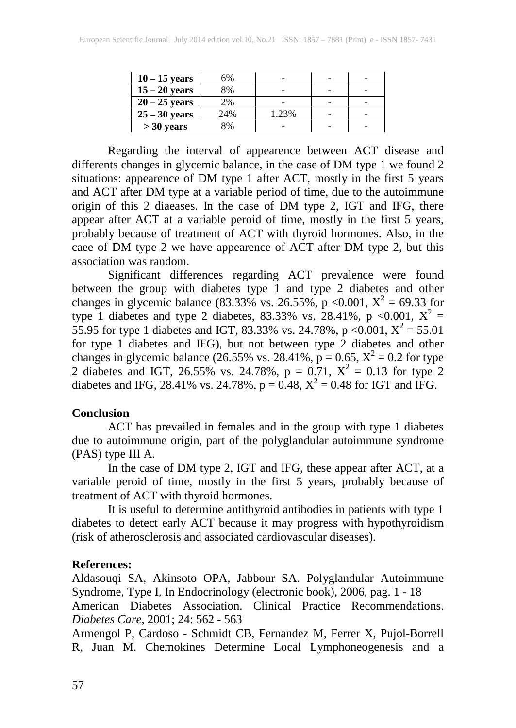| $10 - 15$ years | 6%  |       |   |  |
|-----------------|-----|-------|---|--|
| $15 - 20$ years | 8%  |       |   |  |
| $20 - 25$ years | 2%  |       |   |  |
| $25 - 30$ years | 24% | 1.23% | - |  |
| $>$ 30 years    | 8%  |       |   |  |

Regarding the interval of appearence between ACT disease and differents changes in glycemic balance, in the case of DM type 1 we found 2 situations: appearence of DM type 1 after ACT, mostly in the first 5 years and ACT after DM type at a variable period of time, due to the autoimmune origin of this 2 diaeases. In the case of DM type 2, IGT and IFG, there appear after ACT at a variable peroid of time, mostly in the first 5 years, probably because of treatment of ACT with thyroid hormones. Also, in the caee of DM type 2 we have appearence of ACT after DM type 2, but this association was random. association was random.

Significant differences regarding ACT prevalence were found between the group with diabetes type 1 and type 2 diabetes and other changes in glycemic balance (83.33% vs. 26.55%, p <0.001,  $X^2 = 69.33$  for type 1 diabetes and type 2 diabetes, 83.33% vs. 28.41%, p <0.001,  $X^2 =$ 55.95 for type 1 diabetes and IGT, 83.33% vs. 24.78%, p <0.001,  $X^2 = 55.01$ for type 1 diabetes and IFG), but not between type 2 diabetes and other changes in glycemic balance (26.55% vs. 28.41%,  $p = 0.65$ ,  $X^2 = 0.2$  for type 2 diabetes and IGT, 26.55% vs. 24.78%,  $p = 0.71$ ,  $X^2 = 0.13$  for type 2 diabetes and IFG, 28.41% vs. 24.78%,  $p = 0.48$ ,  $X^2 = 0.48$  for IGT and IFG.

#### **Conclusion**

ACT has prevailed in females and in the group with type 1 diabetes due to autoimmune origin, part of the polyglandular autoimmune syndrome (PAS) type III A.

In the case of DM type 2, IGT and IFG, these appear after ACT, at a variable peroid of time, mostly in the first 5 years, probably because of treatment of ACT with thyroid hormones.

It is useful to determine antithyroid antibodies in patients with type 1 diabetes to detect early ACT because it may progress with hypothyroidism (risk of atherosclerosis and associated cardiovascular diseases).

## **References:**

Aldasouqi SA, Akinsoto OPA, Jabbour SA. Polyglandular Autoimmune Syndrome, Type I, In Endocrinology (electronic book), 2006, pag. 1 - 18 American Diabetes Association. Clinical Practice Recommendations. *Diabetes Care*, 2001; 24: 562 - 563

Armengol P, Cardoso - Schmidt CB, Fernandez M, Ferrer X, Pujol-Borrell R, Juan M. Chemokines Determine Local Lymphoneogenesis and a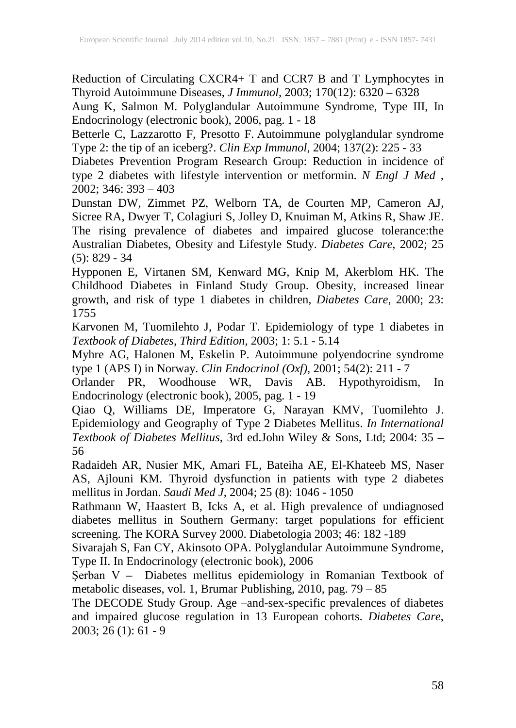Reduction of Circulating CXCR4+ T and CCR7 B and T Lymphocytes in Thyroid Autoimmune Diseases, *J Immunol*, 2003; 170(12): 6320 – 6328

Aung K, Salmon M. Polyglandular Autoimmune Syndrome, Type III, In Endocrinology (electronic book), 2006, pag. 1 - 18

Betterle C, Lazzarotto F, Presotto F. Autoimmune polyglandular syndrome Type 2: the tip of an iceberg?. *Clin Exp Immunol*, 2004; 137(2): 225 - 33

Diabetes Prevention Program Research Group: Reduction in incidence of type 2 diabetes with lifestyle intervention or metformin. *N Engl J Med* , 2002; 346: 393 – 403

Dunstan DW, Zimmet PZ, Welborn TA, de Courten MP, Cameron AJ, Sicree RA, Dwyer T, Colagiuri S, Jolley D, Knuiman M, Atkins R, Shaw JE. The rising prevalence of diabetes and impaired glucose tolerance:the Australian Diabetes, Obesity and Lifestyle Study. *Diabetes Care*, 2002; 25 (5): 829 - 34

Hypponen E, Virtanen SM, Kenward MG, Knip M, Akerblom HK. The Childhood Diabetes in Finland Study Group. Obesity, increased linear growth, and risk of type 1 diabetes in children, *Diabetes Care*, 2000; 23: 1755

Karvonen M, Tuomilehto J, Podar T. Epidemiology of type 1 diabetes in *Textbook of Diabetes*, *Third Edition*, 2003; 1: 5.1 - 5.14

Myhre AG, Halonen M, Eskelin P. Autoimmune polyendocrine syndrome type 1 (APS I) in Norway. *Clin Endocrinol (Oxf)*, 2001; 54(2): 211 - 7

Orlander PR, Woodhouse WR, Davis AB. Hypothyroidism, In Endocrinology (electronic book), 2005, pag. 1 - 19

Qiao Q, Williams DE, Imperatore G, Narayan KMV, Tuomilehto J. Epidemiology and Geography of Type 2 Diabetes Mellitus. *In International Textbook of Diabetes Mellitus*, 3rd ed.John Wiley & Sons, Ltd; 2004: 35 – 56

Radaideh AR, Nusier MK, Amari FL, Bateiha AE, El-Khateeb MS, Naser AS, Ajlouni KM. Thyroid dysfunction in patients with type 2 diabetes mellitus in Jordan. *Saudi Med J*, 2004; 25 (8): 1046 - 1050

Rathmann W, Haastert B, Icks A, et al. High prevalence of undiagnosed diabetes mellitus in Southern Germany: target populations for efficient screening. The KORA Survey 2000. Diabetologia 2003; 46: 182 -189

Sivarajah S, Fan CY, Akinsoto OPA. Polyglandular Autoimmune Syndrome, Type II. In Endocrinology (electronic book), 2006

Şerban V – Diabetes mellitus epidemiology in Romanian Textbook of metabolic diseases, vol. 1, Brumar Publishing, 2010, pag. 79 – 85

The DECODE Study Group. Age –and-sex-specific prevalences of diabetes and impaired glucose regulation in 13 European cohorts. *Diabetes Care*,  $2003$ ;  $26(1)$ : 61 - 9